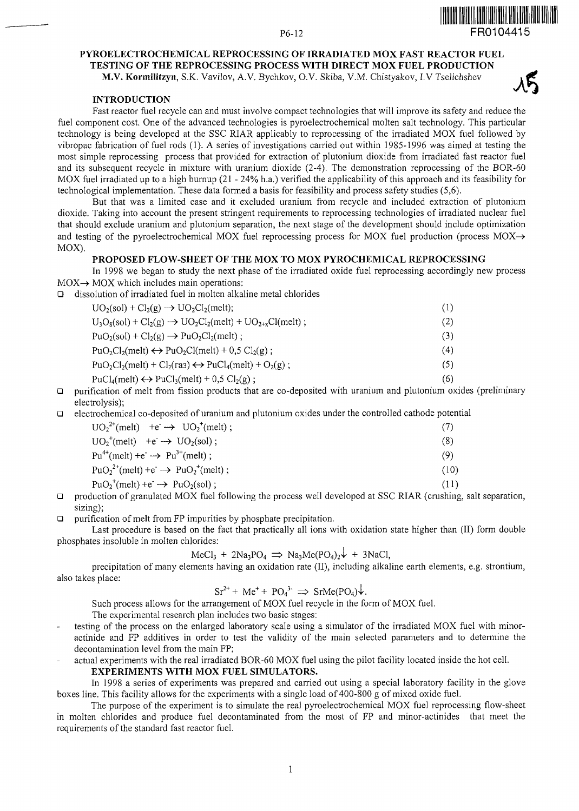#### P6-12 **FR0104415**

# **PYROELECTROCHEMICAL REPROCESSING OF IRRADIATED MOX FAST REACTOR FUEL TESTING OF THE REPROCESSING PROCESS WITH DIRECT MOX FUEL PRODUCTION M.V. Kormilitzyn,** S.K. Vavilov, A.V. Bychkov, O.V. Skiba, V.M. Chistyakov, I.V Tselichshev

### **INTRODUCTION**

Fast reactor fuel recycle can and must involve compact technologies that will improve its safety and reduce the fuel component cost. One of the advanced technologies is pyroelectrochemical molten salt technology. This particular technology is being developed at the SSC RIAR applicably to reprocessing of the irradiated MOX fuel followed by vibropac fabrication of fuel rods (1). A series of investigations carried out within 1985-1996 was aimed at testing the most simple reprocessing process that provided for extraction of plutonium dioxide from irradiated fast reactor fuel and its subsequent recycle in mixture with uranium dioxide (2-4). The demonstration reprocessing of the BOR-60 MOX fuel irradiated up to a high burnup (21 - 24% h.a.) verified the applicability of this approach and its feasibility for technological implementation. These data formed a basis for feasibility and process safety studies (5,6).

But that was a limited case and it excluded uranium from recycle and included extraction of plutonium dioxide. Taking into account the present stringent requirements to reprocessing technologies of irradiated nuclear fuel that should exclude uranium and plutonium separation, the next stage of the development should include optimization and testing of the pyroelectrochemical MOX fuel reprocessing process for MOX fuel production (process MOX—*>* MOX).

# **PROPOSED FLOW-SHEET OF THE MOX TO MOX PYROCHEMICAL REPROCESSING**

In 1998 we began to study the next phase of the irradiated oxide fuel reprocessing accordingly new process  $MOX \rightarrow MOX$  which includes main operations:

 $\Box$  dissolution of irradiated fuel in molten alkaline metal chlorides

| $UO_2(sol) + Cl_2(g) \rightarrow UO_2Cl_2(melt);$                                              | (1) |
|------------------------------------------------------------------------------------------------|-----|
| $U_3O_8(sol) + Cl_2(g) \rightarrow UO_2Cl_2(melt) + UO_{2+x}Cl(melt);$                         | (2) |
| $PuO_2(sol) + Cl_2(g) \rightarrow PuO_2Cl_2(melt)$ ;                                           | (3) |
| $PuO2Cl2(melt) \leftrightarrow PuO2Cl(melt) + 0.5 Cl2(g);$                                     | (4) |
| $PuO2Cl2(melt) + Cl2(raa) \leftrightarrow PuCl4(melt) + O2(g);$                                | (5) |
| PuCl <sub>4</sub> (melt) $\leftrightarrow$ PuCl <sub>3</sub> (melt) + 0,5 Cl <sub>2</sub> (g); | (6) |

 $\Box$  purification of melt from fission products that are co-deposited with uranium and plutonium oxides (preliminary electrolysis);

Q electrochemical co-deposited of uranium and plutonium oxides under the controlled cathode potential

| $UO_2^{2+}$ (melt) +e $\rightarrow UO_2^{+}$ (melt);                       | (7)  |
|----------------------------------------------------------------------------|------|
| $UO_2^+(melt)$ +e <sup>-</sup> $\rightarrow$ $UO_2(sol)$ ;                 | (8)  |
| $Pu^{4+}$ (melt) +e $\rightarrow$ Pu <sup>3+</sup> (melt);                 | (9)  |
| $PuO_2^{2+}$ (melt) +e $\rightarrow$ PuO <sub>2</sub> <sup>+</sup> (melt); | (10) |
| $PuO2+(melt) +e \rightarrow PuO2(sol);$                                    | (11) |

Q production of granulated MOX fuel following the process well developed at SSC RIAR (crushing, salt separation, sizing);

 $\Box$  purification of melt from FP impurities by phosphate precipitation.

Last procedure is based on the fact that practically all ions with oxidation state higher than (II) form double phosphates insoluble in molten chlorides:

$$
MeCl3 + 2Na3PO4 \implies Na3Me(PO4)2 + 3NaCl,
$$

precipitation of many elements having an oxidation rate (II), including alkaline earth elements, e.g. strontium, also takes place:

$$
Sr^{2+} + Me^{+} + PO_4^{3-} \Rightarrow SrMe(PO_4)\n\downarrow.
$$

Such process allows for the arrangement of MOX fuel recycle in the form of MOX fuel.

The experimental research plan includes two basic stages:

testing of the process on the enlarged laboratory scale using a simulator of the irradiated MOX fuel with minoractinide and FP additives in order to test the validity of the main selected parameters and to determine the decontamination level from the main FP;

actual experiments with the real irradiated BOR-60 MOX fuel using the pilot facility located inside the hot cell.

## **EXPERIMENTS WITH MOX FUEL SIMULATORS.**

In 1998 a series of experiments was prepared and carried out using a special laboratory facility in the glove boxes line. This facility allows for the experiments with a single load of 400-800 g of mixed oxide fuel.

The purpose of the experiment is to simulate the real pyroelectrochemical MOX fuel reprocessing flow-sheet in molten chlorides and produce fuel decontaminated from the most of FP and minor-actinides that meet the requirements of the standard fast reactor fuel.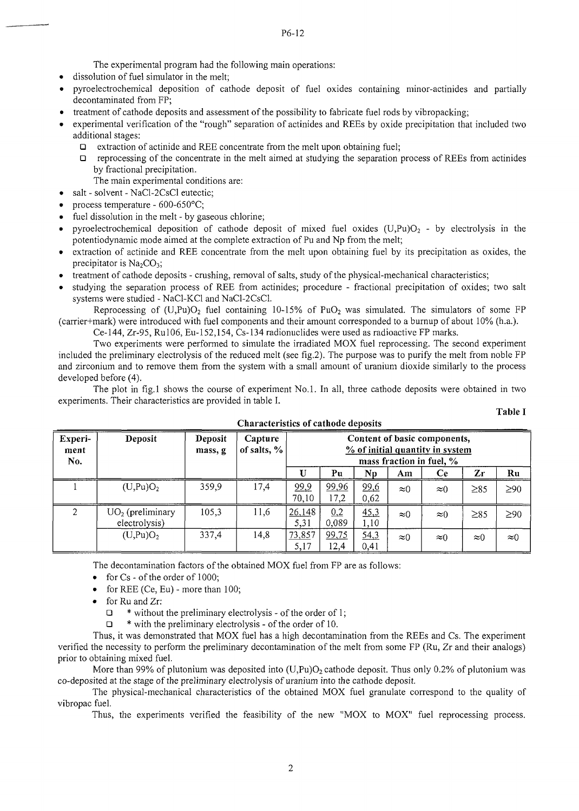P6-12

The experimental program had the following main operations:

- dissolution of fuel simulator in the melt;
- pyroelectrochemical deposition of cathode deposit of fuel oxides containing minor-actinides and partially decontaminated from FP;
- treatment of cathode deposits and assessment of the possibility to fabricate fuel rods by vibropacking;
- experimental verification of the "rough" separation of actinides and REEs by oxide precipitation that included two additional stages:
	- □ extraction of actinide and REE concentrate from the melt upon obtaining fuel;
	- $\Box$  reprocessing of the concentrate in the melt aimed at studying the separation process of REEs from actinides by fractional precipitation.
		- The main experimental conditions are:
- salt solvent NaCl-2CsCl eutectic;
- process temperature 600-650°C;
- fuel dissolution in the melt by gaseous chlorine;
- pyroelectrochemical deposition of cathode deposit of mixed fuel oxides  $(U,Pu)O<sub>2</sub>$  by electrolysis in the potentiodynamic mode aimed at the complete extraction of Pu and Np from the melt;
- extraction of actinide and REE concentrate from the melt upon obtaining fuel by its precipitation as oxides, the precipitator is  $Na<sub>2</sub>CO<sub>3</sub>$ ;
- treatment of cathode deposits crushing, removal of salts, study of the physical-mechanical characteristics;
- studying the separation process of REE from actinides; procedure fractional precipitation of oxides; two salt systems were studied - NaCl-KCl and NaCl-2CsCl.

Reprocessing of  $(U, Pu)O<sub>2</sub>$  fuel containing 10-15% of PuO<sub>2</sub> was simulated. The simulators of some FP (carrier+mark) were introduced with fuel components and their amount corresponded to a burnup of about 10% (h.a.).

Ce-144, Zr-95, RulO6, Eu-152,154, Cs-134 radionuclides were used as radioactive FP marks.

Two experiments were performed to simulate the irradiated MOX fuel reprocessing. The second experiment included the preliminary electrolysis of the reduced melt (see fig.2). The purpose was to purify the melt from noble FP and zirconium and to remove them from the system with a small amount of uranium dioxide similarly to the process developed before (4).

The plot in fig.l shows the course of experiment No.l. In all, three cathode deposits were obtained in two experiments. Their characteristics are provided in table **I.**

| Experi-<br>ment<br>No.      | Deposit                             | Deposit<br>mass, g | Capture<br>of salts, $\%$ | Content of basic components,<br>% of initial quantity in system<br>mass fraction in fuel, $\%$ |               |              |             |             |             |             |
|-----------------------------|-------------------------------------|--------------------|---------------------------|------------------------------------------------------------------------------------------------|---------------|--------------|-------------|-------------|-------------|-------------|
|                             |                                     |                    |                           |                                                                                                | Pu            | Np           | Am          | <b>Ce</b>   | Zr          | Ru          |
|                             | (U, Pu)O <sub>2</sub>               | 359,9              | 17,4                      | 99,9<br>70,10                                                                                  | 99,96<br>17,2 | 99,6<br>0,62 | $\approx 0$ | $\approx 0$ | $\geq 85$   | $\geq 90$   |
| $\mathcal{D}_{\mathcal{L}}$ | $UO2$ (preliminary<br>electrolysis) | 105,3              | 11,6                      | 26,148<br>5,31                                                                                 | 0.2<br>0,089  | 45.3<br>1,10 | $\approx 0$ | $\approx 0$ | $\geq 85$   | $\geq 90$   |
|                             | (U,Pu)O <sub>2</sub>                | 337,4              | 14,8                      | 73,857<br>5,17                                                                                 | 99,75<br>12,4 | 54,3<br>0,41 | $\approx 0$ | $\approx 0$ | $\approx 0$ | $\approx 0$ |

# **Characteristics of cathode deposits**

**Table I**

The decontamination factors of the obtained MOX fuel from FP are as follows:

- for Cs of the order of 1000;
- for REE (Ce, Eu) more than 100;
- for Ru and Zr:
	- $\Box$  \* without the preliminary electrolysis of the order of 1;
	- $\Box$  \* with the preliminary electrolysis of the order of 10.

Thus, it was demonstrated that MOX fuel has a high decontamination from the REEs and Cs. The experiment verified the necessity to perform the preliminary decontamination of the melt from some FP (Ru, Zr and their analogs) prior to obtaining mixed fuel.

More than 99% of plutonium was deposited into  $(U,Pu)O<sub>2</sub>$  cathode deposit. Thus only 0.2% of plutonium was co-deposited at the stage of the preliminary electrolysis of uranium into the cathode deposit.

The physical-mechanical characteristics of the obtained MOX fuel granulate correspond to the quality of vibropac fuel.

Thus, the experiments verified the feasibility of the new "MOX to MOX" fuel reprocessing process.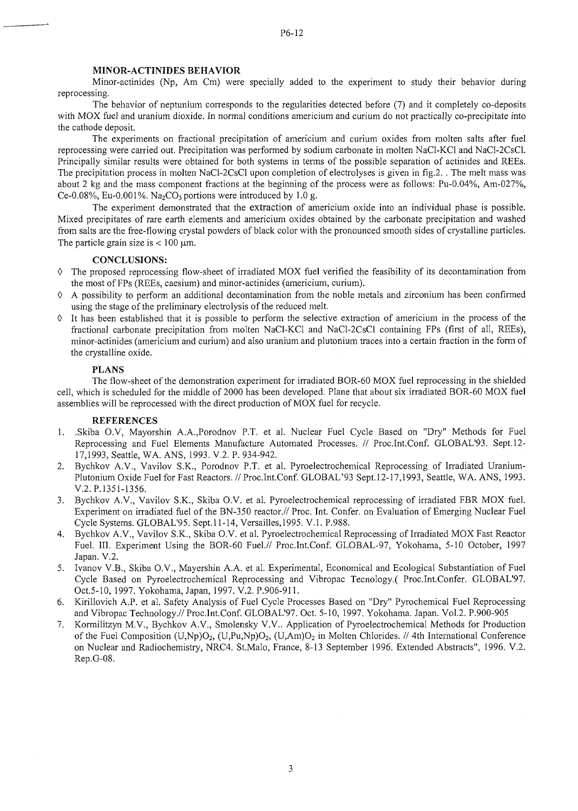### **MINOR-ACTINIDES BEHAVIOR**

Minor-actinides (Np, Am Cm) were specially added to the experiment to study their behavior during reprocessing.

The behavior of neptunium corresponds to the regularities detected before (7) and it completely co-deposits with MOX fuel and uranium dioxide. In normal conditions americium and curium do not practically co-precipitate into the cathode deposit.

The experiments on fractional precipitation of americium and curium oxides from molten salts after fuel reprocessing were carried out. Precipitation was performed by sodium carbonate in molten NaCl-KCl and NaCI-2CsCl. Principally similar results were obtained for both systems in terms of the possible separation of actinides and REEs. The precipitation process in molten NaCl-2CsCl upon completion of electrolyses is given in fig.2. . The melt mass was about 2 kg and the mass component fractions at the beginning of the process were as follows: Pu-0.04%, Am-027%, Ce-0.08%, Eu-0.001%. Na<sub>2</sub>CO<sub>3</sub> portions were introduced by 1.0 g.

The experiment demonstrated that the extraction of americium oxide into an individual phase is possible. Mixed precipitates of rare earth elements and americium oxides obtained by the carbonate precipitation and washed from salts are the free-flowing crystal powders of black color with the pronounced smooth sides of crystalline particles. The particle grain size is  $< 100 \mu m$ .

### **CONCLUSIONS:**

- 0 The proposed reprocessing flow-sheet of irradiated MOX fuel verified the feasibility of its decontamination from the most of FPs (REEs, caesium) and minor-actinides (americium, curium).
- $\Diamond$  A possibility to perform an additional decontamination from the noble metals and zirconium has been confirmed using the stage of the preliminary electrolysis of the reduced melt.
- $\Diamond$  It has been established that it is possible to perform the selective extraction of americium in the process of the fractional carbonate precipitation from molten NaCl-KCl and NaCl-2CsCl containing FPs (first of all, REEs), minor-actinides (americium and curium) and also uranium and plutonium traces into a certain fraction in the form of the crystalline oxide.

# **PLANS**

The flow-sheet of the demonstration experiment for irradiated BOR-60 MOX fuel reprocessing in the shielded cell, which is scheduled for the middle of 2000 has been developed. Plane that about six irradiated BOR-60 MOX fuel assemblies will be reprocessed with the direct production of MOX fuel for recycle.

# **REFERENCES**

- 1. .Skiba O.V, Mayorshin A.A.,Porodnov P.T. et al. Nuclear Fuel Cycle Based on "Dry" Methods for Fuel Reprocessing and Fuel Elements Manufacture Automated Processes. // Proc.Int.Conf. GLOBAL'93. Sept. 12- 17,1993, Seattle, WA. ANS, 1993. V.2. P. 934-942.
- 2. Bychkov A.V., Vavilov S.K., Porodnov P.T. et al. Pyroelectrochemical Reprocessing of Irradiated Uranium-Plutonium Oxide Fuel for Fast Reactors. // Proc.Int.Conf. GLOBAL'93 Sept.12-17,1993, Seattle, WA. ANS, 1993. V.2. P.1351-1356.
- 3. Bychkov A.V., Vavilov S.K., Skiba O.V. et al. Pyroelectrochemical reprocessing of irradiated FBR MOX fuel. Experiment on irradiated fuel of the BN-350 reactor.// Proc. Int. Confer, on Evaluation of Emerging Nuclear Fuel Cycle Systems. GLOBAL'95. Sept.11-14, Versailles, 1995. V.I. P.988.
- 4. Bychkov A.V., Vavilov S.K., Skiba O.V. et al. Pyroelectrochemical Reprocessing of Irradiated MOX Fast Reactor Fuel. III. Experiment Using the BOR-60 Fuel.// Proc.Int.Conf. GLOBAL-97, Yokohama, 5-10 October, 1997 Japan. V.2.
- 5. Ivanov V.B., Skiba O.V., Mayershin A.A. et al. Experimental, Economical and Ecological Substantiation of Fuel Cycle Based on Pyroelectrochemical Reprocessing and Vibropac Tecnology.( Proc.Int.Confer. GLOBAL'97. Oct.5-10, 1997. Yokohama, Japan, 1997. V.2. P.906-911.
- 6. Kirillovich A.P. et al. Safety Analysis of Fuel Cycle Processes Based on "Dry" Pyrochemical Fuel Reprocessing and Vibropac Technology.// Proc.Int.Conf. GLOBAL'97. Oct. 5-10, 1997. Yokohama. Japan. Vol.2. P.900-905
- 7. Kormilitzyn M.V., Bychkov A.V., Smolensky V.V.. Application of Pyroelectrochemical Methods for Production of the Fuel Composition (U,Np)O<sub>2</sub>, (U,Pu,Np)O<sub>2</sub>, (U,Am)O<sub>2</sub> in Molten Chlorides. // 4th International Conference on Nuclear and Radiochemistry, NRC4. St.Malo, France, 8-13 September 1996. Extended Abstracts", 1996. V.2. Rep.G-08.